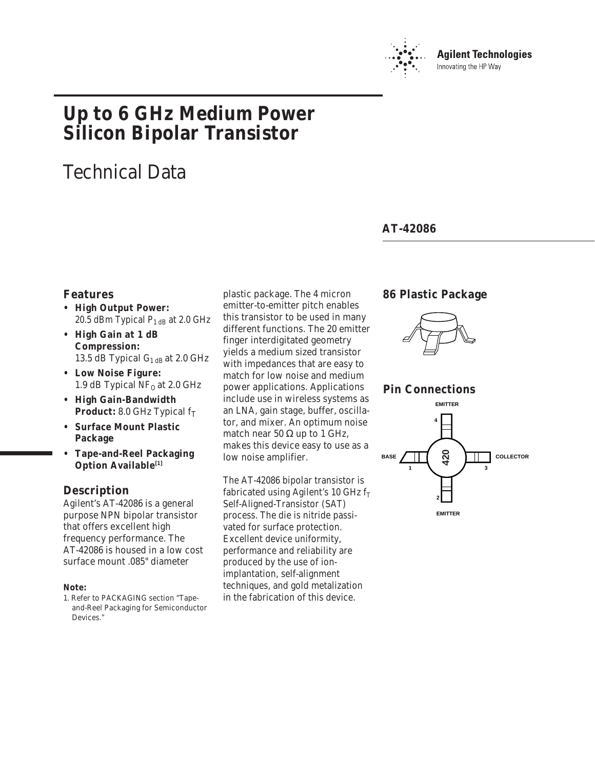

# **Up to 6 GHz Medium Power Silicon Bipolar Transistor**

# Technical Data

### **AT-42086**

### **Features**

- **High Output Power:** 20.5 dBm Typical  $P_{1 \text{ dB}}$  at 2.0 GHz
- **High Gain at 1 dB Compression:** 13.5 dB Typical  $G_1$  dB at 2.0 GHz
- **Low Noise Figure:** 1.9 dB Typical  $NF<sub>0</sub>$  at 2.0 GHz
- **High Gain-Bandwidth Product: 8.0 GHz Typical f<sub>T</sub>**
- **Surface Mount Plastic Package**
- **Tape-and-Reel Packaging Option Available**<sup>[1]</sup>

### **Description**

Agilent's AT-42086 is a general purpose NPN bipolar transistor that offers excellent high frequency performance. The AT-42086 is housed in a low cost surface mount .085" diameter

#### **Note:**

1. Refer to PACKAGING section "Tapeand-Reel Packaging for Semiconductor Devices."

plastic package. The 4 micron emitter-to-emitter pitch enables this transistor to be used in many different functions. The 20 emitter finger interdigitated geometry yields a medium sized transistor with impedances that are easy to match for low noise and medium power applications. Applications include use in wireless systems as an LNA, gain stage, buffer, oscillator, and mixer. An optimum noise match near 50  $\Omega$  up to 1 GHz, makes this device easy to use as a low noise amplifier.

The AT-42086 bipolar transistor is fabricated using Agilent's 10 GHz  $f_T$ Self-Aligned-Transistor (SAT) process. The die is nitride passivated for surface protection. Excellent device uniformity, performance and reliability are produced by the use of ionimplantation, self-alignment techniques, and gold metalization in the fabrication of this device.

### **86 Plastic Package**



### **Pin Connections**

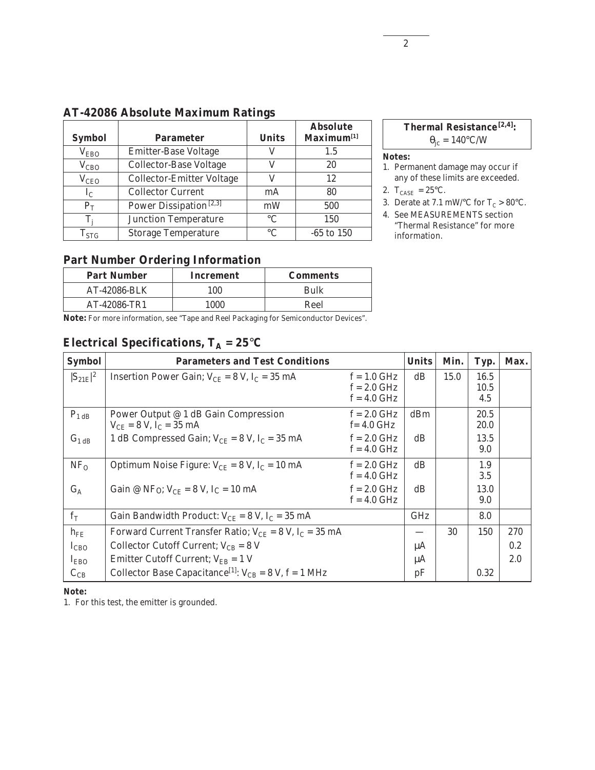| <b>Symbol</b> | <b>Parameter</b>                   | <b>Units</b> | <b>Absolute</b><br>Maximum <sup>[1]</sup> |
|---------------|------------------------------------|--------------|-------------------------------------------|
| $V_{EBO}$     | <b>Emitter-Base Voltage</b>        |              | 1.5                                       |
| $V_{CBO}$     | <b>Collector-Base Voltage</b>      | V            | 20                                        |
| $V_{CEO}$     | <b>Collector-Emitter Voltage</b>   |              | 12                                        |
| $I_{C}$       | <b>Collector Current</b>           | mA           | 80                                        |
| $P_T$         | Power Dissipation <sup>[2,3]</sup> | mW           | 500                                       |
| $T_i$         | <b>Junction Temperature</b>        | $\circ$ C    | 150                                       |
| $T_{STG}$     | <b>Storage Temperature</b>         | $\circ$ C    | $-65$ to 150                              |

### **AT-42086 Absolute Maximum Ratings**

## **Thermal Resistance[2,4]:**

## $\theta_{\rm ic} = 140^{\circ}$ C/W

#### **Notes:**

- 1. Permanent damage may occur if any of these limits are exceeded.
- 2.  $T_{\text{CASE}} = 25^{\circ}\text{C}$ .
- 3. Derate at 7.1 mW/°C for  $T_C > 80$ °C.
- 4. See MEASUREMENTS section "Thermal Resistance" for more information.

### **Part Number Ordering Information**

| <b>Part Number</b> | Increment | <b>Comments</b> |
|--------------------|-----------|-----------------|
| AT-42086-BLK       | 100       | Bulk            |
| AT-42086-TR1       | 1000      | Reel            |

**Note:** For more information, see "Tape and Reel Packaging for Semiconductor Devices".

### Electrical Specifications,  $T_A = 25^{\circ}C$

| <b>Symbol</b>   | <b>Parameters and Test Conditions</b>                                                       |                                                 | <b>Units</b> | Min. | Typ.                | Max. |
|-----------------|---------------------------------------------------------------------------------------------|-------------------------------------------------|--------------|------|---------------------|------|
| $ S_{21E} ^2$   | Insertion Power Gain; $V_{CE} = 8 V$ , $I_C = 35 mA$                                        | $f = 1.0$ GHz<br>$f = 2.0$ GHz<br>$f = 4.0$ GHz | dB           | 15.0 | 16.5<br>10.5<br>4.5 |      |
| $P_{1 dB}$      | Power Output @ 1 dB Gain Compression<br>$V_{\text{CE}} = 8 V, I_{\text{C}} = 35 \text{ mA}$ | $f = 2.0$ GHz<br>$f = 4.0$ GHz                  | dBm          |      | 20.5<br><b>20.0</b> |      |
| $G_{1dB}$       | 1 dB Compressed Gain; $V_{CE} = 8 V$ , $I_C = 35 mA$                                        | $f = 2.0$ GHz<br>$f = 4.0$ GHz                  | dB           |      | 13.5<br>9.0         |      |
| NF <sub>0</sub> | Optimum Noise Figure: $V_{CF} = 8 V$ , $I_C = 10 mA$                                        | $f = 2.0$ GHz<br>$f = 4.0$ GHz                  | dB           |      | 1.9<br>3.5          |      |
| $G_A$           | Gain @ NF <sub>O</sub> ; $V_{CF} = 8 V$ , I <sub>C</sub> = 10 mA                            | $f = 2.0$ GHz<br>$f = 4.0$ GHz                  | dB           |      | 13.0<br>9.0         |      |
| $f_T$           | Gain Bandwidth Product: $V_{CE} = 8 V$ , I <sub>C</sub> = 35 mA                             |                                                 | GHz          |      | 8.0                 |      |
| $h_{FE}$        | Forward Current Transfer Ratio; $V_{CE} = 8 V$ , $I_C = 35 mA$                              |                                                 |              | 30   | 150                 | 270  |
| $I_{CBO}$       | Collector Cutoff Current; $V_{CB} = 8 V$                                                    |                                                 | $\mu$ A      |      |                     | 0.2  |
| $I_{EBO}$       | Emitter Cutoff Current; $V_{FB} = 1$ V                                                      |                                                 | $\mu A$      |      |                     | 2.0  |
| $C_{CB}$        | Collector Base Capacitance <sup>[1]</sup> : $V_{CB} = 8 V$ , f = 1 MHz                      |                                                 | pF           |      | 0.32                |      |

**Note:**

1. For this test, the emitter is grounded.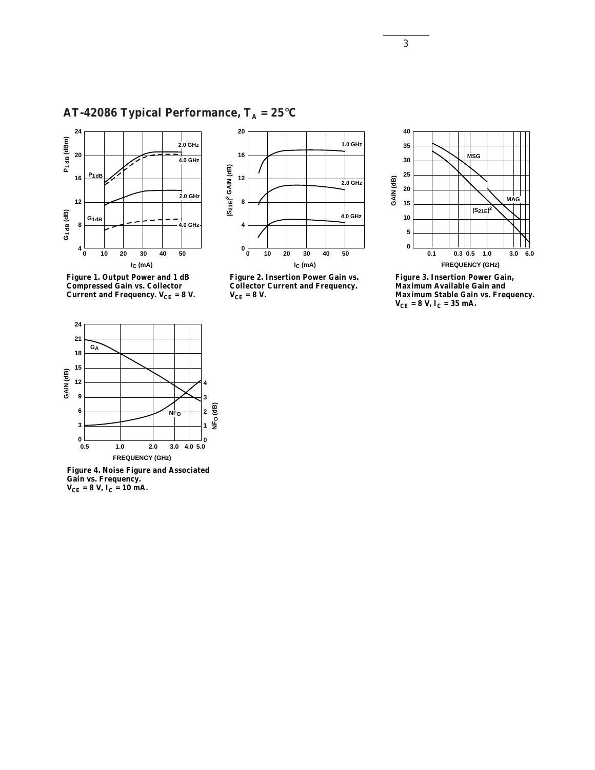# **AT-42086 Typical Performance,**  $T_A = 25^{\circ}C$



**Compressed Gain vs. Collector Current and Frequency.**  $V_{CE} = 8 V$ **.** 



**Figure 2. Insertion Power Gain vs. Collector Current and Frequency.**   $V_{CE} = 8 V.$ 



**Figure 3. Insertion Power Gain, Maximum Available Gain and Maximum Stable Gain vs. Frequency.** 



**Figure 4. Noise Figure and Associated Gain vs. Frequency.**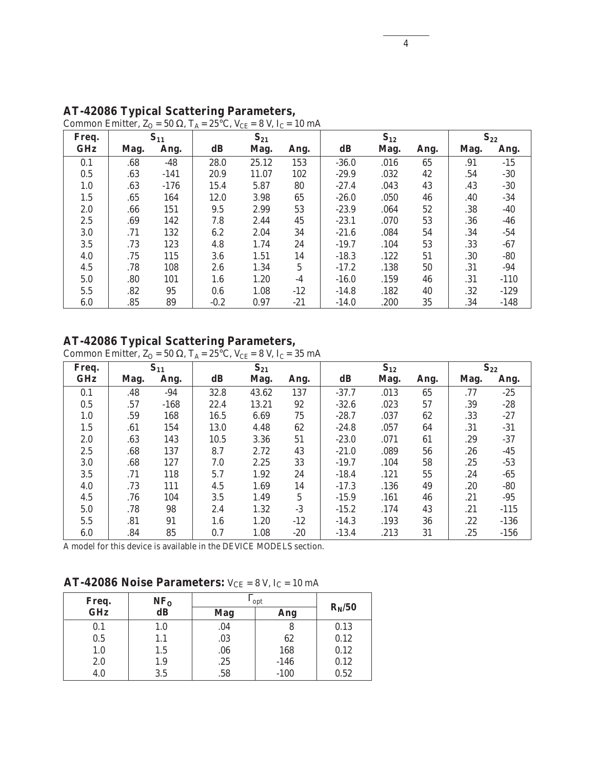### **AT-42086 Typical Scattering Parameters,**

| Freq.      | $S_{11}$ |        | $S_{21}$ |       | $S_{12}$        |               |      | $S_{22}$ |      |        |
|------------|----------|--------|----------|-------|-----------------|---------------|------|----------|------|--------|
| <b>GHz</b> | Mag.     | Ang.   | dB       | Mag.  | Ang.            | $\mathbf{dB}$ | Mag. | Ang.     | Mag. | Ang.   |
| 0.1        | .68      | $-48$  | 28.0     | 25.12 | 153             | $-36.0$       | .016 | 65       | .91  | $-15$  |
| 0.5        | .63      | $-141$ | 20.9     | 11.07 | 102             | $-29.9$       | .032 | 42       | .54  | $-30$  |
| 1.0        | .63      | $-176$ | 15.4     | 5.87  | 80              | $-27.4$       | .043 | 43       | .43  | $-30$  |
| 1.5        | .65      | 164    | 12.0     | 3.98  | 65              | $-26.0$       | .050 | 46       | .40  | $-34$  |
| 2.0        | .66      | 151    | 9.5      | 2.99  | 53              | $-23.9$       | .064 | 52       | .38  | $-40$  |
| 2.5        | .69      | 142    | 7.8      | 2.44  | 45              | $-23.1$       | .070 | 53       | .36  | $-46$  |
| 3.0        | .71      | 132    | 6.2      | 2.04  | 34              | $-21.6$       | .084 | 54       | .34  | $-54$  |
| 3.5        | .73      | 123    | 4.8      | 1.74  | 24              | $-19.7$       | .104 | 53       | .33  | $-67$  |
| 4.0        | .75      | 115    | 3.6      | 1.51  | 14              | $-18.3$       | .122 | 51       | .30  | $-80$  |
| 4.5        | .78      | 108    | 2.6      | 1.34  | $5\overline{)}$ | $-17.2$       | .138 | 50       | .31  | $-94$  |
| 5.0        | .80      | 101    | $1.6\,$  | 1.20  | $-4$            | $-16.0$       | .159 | 46       | .31  | $-110$ |
| 5.5        | .82      | 95     | 0.6      | 1.08  | $-12$           | $-14.8$       | .182 | 40       | .32  | $-129$ |
| 6.0        | .85      | 89     | $-0.2$   | 0.97  | $-21$           | $-14.0$       | .200 | 35       | .34  | $-148$ |

### Common Emitter, Z<sub>O</sub> = 50 Ω, T<sub>A</sub> = 25°C, V<sub>CE</sub> = 8 V, I<sub>C</sub> = 10 mA

### **AT-42086 Typical Scattering Parameters,**

Common Emitter, Z<sub>O</sub> = 50 Ω, T<sub>A</sub> = 25°C, V<sub>CE</sub> = 8 V, I<sub>C</sub> = 35 mA

| Freq.      | $S_{11}$ |        | $S_{21}$ |       | $S_{12}$ |               |      | $S_{22}$ |      |        |
|------------|----------|--------|----------|-------|----------|---------------|------|----------|------|--------|
| <b>GHz</b> | Mag.     | Ang.   | dB       | Mag.  | Ang.     | $\mathbf{dB}$ | Mag. | Ang.     | Mag. | Ang.   |
| 0.1        | .48      | $-94$  | 32.8     | 43.62 | 137      | $-37.7$       | .013 | 65       | .77  | $-25$  |
| 0.5        | .57      | $-168$ | 22.4     | 13.21 | 92       | $-32.6$       | .023 | 57       | .39  | $-28$  |
| 1.0        | .59      | 168    | 16.5     | 6.69  | 75       | $-28.7$       | .037 | 62       | .33  | $-27$  |
| 1.5        | .61      | 154    | 13.0     | 4.48  | 62       | $-24.8$       | .057 | 64       | .31  | $-31$  |
| 2.0        | .63      | 143    | 10.5     | 3.36  | 51       | $-23.0$       | .071 | 61       | .29  | $-37$  |
| 2.5        | .68      | 137    | 8.7      | 2.72  | 43       | $-21.0$       | .089 | 56       | .26  | $-45$  |
| 3.0        | .68      | 127    | 7.0      | 2.25  | 33       | $-19.7$       | .104 | 58       | .25  | $-53$  |
| 3.5        | .71      | 118    | 5.7      | 1.92  | 24       | $-18.4$       | .121 | 55       | .24  | $-65$  |
| 4.0        | .73      | 111    | 4.5      | 1.69  | 14       | $-17.3$       | .136 | 49       | .20  | $-80$  |
| 4.5        | .76      | 104    | 3.5      | 1.49  | 5        | $-15.9$       | .161 | 46       | .21  | $-95$  |
| 5.0        | .78      | 98     | 2.4      | 1.32  | $-3$     | $-15.2$       | .174 | 43       | .21  | $-115$ |
| 5.5        | .81      | 91     | 1.6      | 1.20  | $-12$    | $-14.3$       | .193 | 36       | .22  | $-136$ |
| 6.0        | .84      | 85     | 0.7      | 1.08  | $-20$    | $-13.4$       | .213 | 31       | .25  | $-156$ |

A model for this device is available in the DEVICE MODELS section.

### **AT-42086 Noise Parameters:**  $V_{CE} = 8 V$ , I<sub>C</sub> = 10 mA

| Freq.      | NF <sub>0</sub> | opt        |        |          |  |
|------------|-----------------|------------|--------|----------|--|
| <b>GHz</b> | dB              | <b>Mag</b> | Ang    | $R_N/50$ |  |
| 0.1        | $1.0\,$         | .04        |        | 0.13     |  |
| 0.5        | 1.1             | .03        | 62     | 0.12     |  |
| 1.0        | 1.5             | .06        | 168    | 0.12     |  |
| 2.0        | 1.9             | .25        | $-146$ | 0.12     |  |
| 4.0        | 3.5             | .58        | $-100$ | 0.52     |  |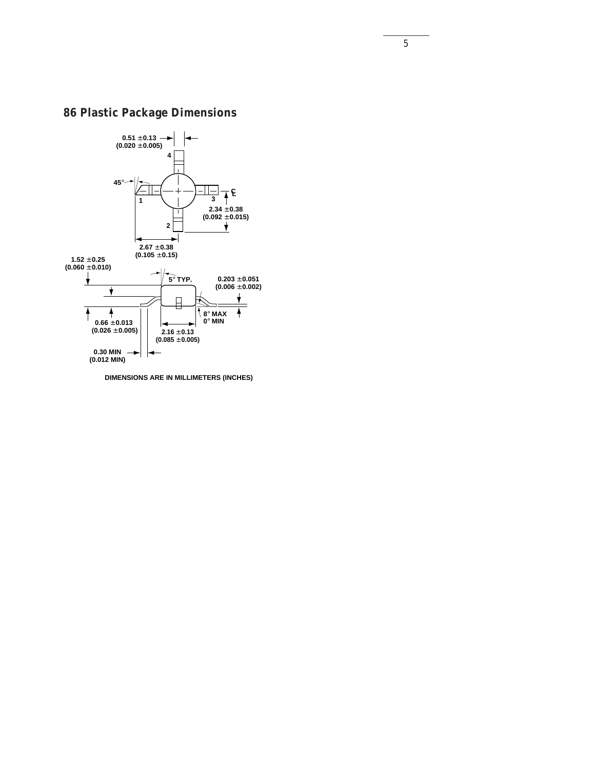## **86 Plastic Package Dimensions**



**DIMENSIONS ARE IN MILLIMETERS (INCHES)**